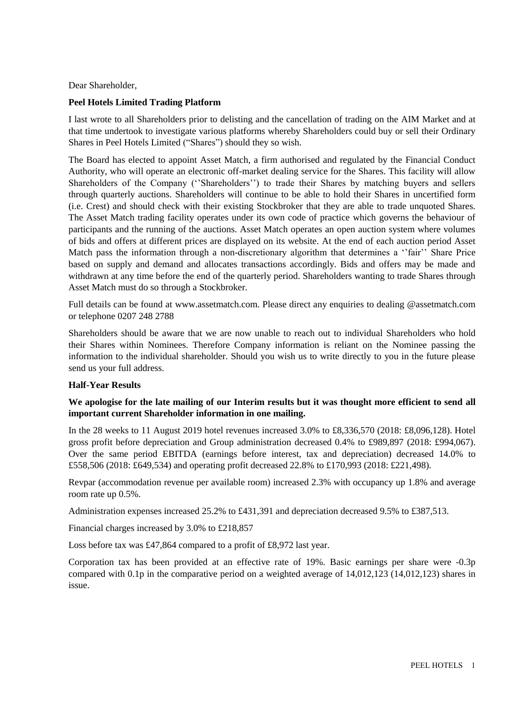Dear Shareholder,

### **Peel Hotels Limited Trading Platform**

I last wrote to all Shareholders prior to delisting and the cancellation of trading on the AIM Market and at that time undertook to investigate various platforms whereby Shareholders could buy or sell their Ordinary Shares in Peel Hotels Limited ("Shares") should they so wish.

The Board has elected to appoint Asset Match, a firm authorised and regulated by the Financial Conduct Authority, who will operate an electronic off-market dealing service for the Shares. This facility will allow Shareholders of the Company (''Shareholders'') to trade their Shares by matching buyers and sellers through quarterly auctions. Shareholders will continue to be able to hold their Shares in uncertified form (i.e. Crest) and should check with their existing Stockbroker that they are able to trade unquoted Shares. The Asset Match trading facility operates under its own code of practice which governs the behaviour of participants and the running of the auctions. Asset Match operates an open auction system where volumes of bids and offers at different prices are displayed on its website. At the end of each auction period Asset Match pass the information through a non-discretionary algorithm that determines a ''fair'' Share Price based on supply and demand and allocates transactions accordingly. Bids and offers may be made and withdrawn at any time before the end of the quarterly period. Shareholders wanting to trade Shares through Asset Match must do so through a Stockbroker.

Full details can be found at [www.assetmatch.com.](http://www.assetmatch.com/) Please direct any enquiries to dealing @assetmatch.com or telephone 0207 248 2788

Shareholders should be aware that we are now unable to reach out to individual Shareholders who hold their Shares within Nominees. Therefore Company information is reliant on the Nominee passing the information to the individual shareholder. Should you wish us to write directly to you in the future please send us your full address.

#### **Half-Year Results**

## **We apologise for the late mailing of our Interim results but it was thought more efficient to send all important current Shareholder information in one mailing.**

In the 28 weeks to 11 August 2019 hotel revenues increased 3.0% to £8,336,570 (2018: £8,096,128). Hotel gross profit before depreciation and Group administration decreased 0.4% to £989,897 (2018: £994,067). Over the same period EBITDA (earnings before interest, tax and depreciation) decreased 14.0% to £558,506 (2018: £649,534) and operating profit decreased 22.8% to £170,993 (2018: £221,498).

Revpar (accommodation revenue per available room) increased 2.3% with occupancy up 1.8% and average room rate up 0.5%.

Administration expenses increased 25.2% to £431,391 and depreciation decreased 9.5% to £387,513.

Financial charges increased by 3.0% to £218,857

Loss before tax was £47,864 compared to a profit of £8,972 last year.

Corporation tax has been provided at an effective rate of 19%. Basic earnings per share were -0.3p compared with 0.1p in the comparative period on a weighted average of 14,012,123 (14,012,123) shares in issue.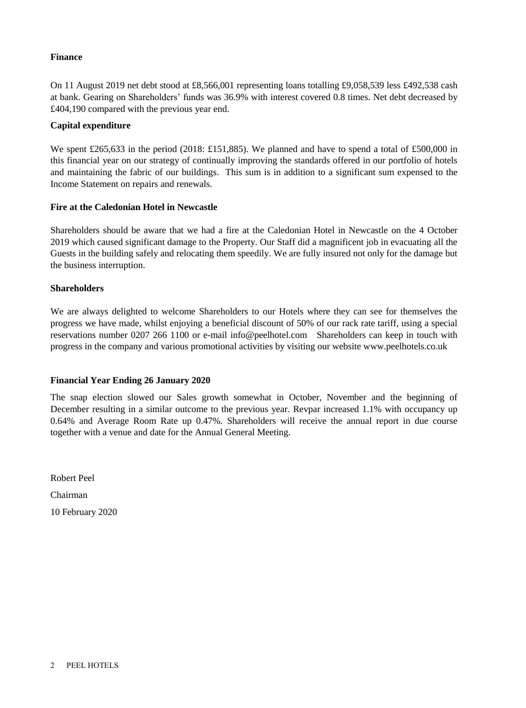### **Finance**

On 11 August 2019 net debt stood at £8,566,001 representing loans totalling £9,058,539 less £492,538 cash at bank. Gearing on Shareholders' funds was 36.9% with interest covered 0.8 times. Net debt decreased by £404,190 compared with the previous year end.

### **Capital expenditure**

We spent £265,633 in the period (2018: £151,885). We planned and have to spend a total of £500,000 in this financial year on our strategy of continually improving the standards offered in our portfolio of hotels and maintaining the fabric of our buildings. This sum is in addition to a significant sum expensed to the Income Statement on repairs and renewals.

### **Fire at the Caledonian Hotel in Newcastle**

Shareholders should be aware that we had a fire at the Caledonian Hotel in Newcastle on the 4 October 2019 which caused significant damage to the Property. Our Staff did a magnificent job in evacuating all the Guests in the building safely and relocating them speedily. We are fully insured not only for the damage but the business interruption.

### **Shareholders**

We are always delighted to welcome Shareholders to our Hotels where they can see for themselves the progress we have made, whilst enjoying a beneficial discount of 50% of our rack rate tariff, using a special reservations number 0207 266 1100 or e-mail [info@peelhotel.com](mailto:info@peelhotel.com) Shareholders can keep in touch with progress in the company and various promotional activities by visiting our website [www.peelhotels.co.uk](http://www.peelhotels.co.uk/)

#### **Financial Year Ending 26 January 2020**

The snap election slowed our Sales growth somewhat in October, November and the beginning of December resulting in a similar outcome to the previous year. Revpar increased 1.1% with occupancy up 0.64% and Average Room Rate up 0.47%. Shareholders will receive the annual report in due course together with a venue and date for the Annual General Meeting.

Robert Peel Chairman 10 February 2020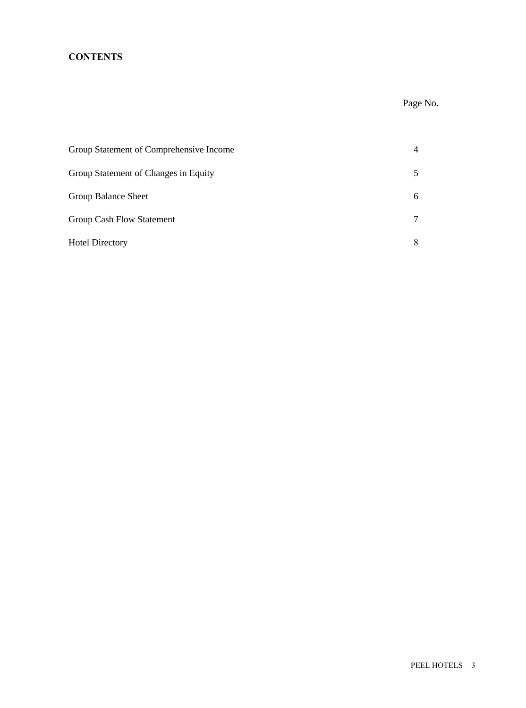# **CONTENTS**

# Page No.

| Group Statement of Comprehensive Income |   |
|-----------------------------------------|---|
| Group Statement of Changes in Equity    |   |
| Group Balance Sheet                     | 6 |
| <b>Group Cash Flow Statement</b>        |   |
| <b>Hotel Directory</b>                  |   |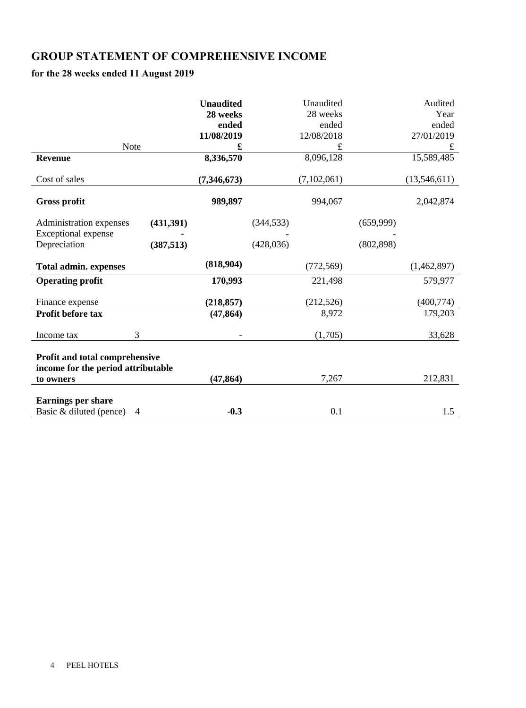# **GROUP STATEMENT OF COMPREHENSIVE INCOME**

## **for the 28 weeks ended 11 August 2019**

|                                                                      |            | <b>Unaudited</b> |            | Unaudited   |            | Audited      |
|----------------------------------------------------------------------|------------|------------------|------------|-------------|------------|--------------|
|                                                                      |            | 28 weeks         |            | 28 weeks    |            | Year         |
|                                                                      |            | ended            |            | ended       |            | ended        |
|                                                                      |            | 11/08/2019       |            | 12/08/2018  |            | 27/01/2019   |
| Note                                                                 |            |                  |            | £           |            |              |
| <b>Revenue</b>                                                       |            | 8,336,570        |            | 8,096,128   |            | 15,589,485   |
| Cost of sales                                                        |            | (7,346,673)      |            | (7,102,061) |            | (13,546,611) |
| <b>Gross profit</b>                                                  |            | 989,897          |            | 994,067     |            | 2,042,874    |
| Administration expenses                                              | (431,391)  |                  | (344, 533) |             | (659,999)  |              |
| Exceptional expense                                                  |            |                  |            |             |            |              |
| Depreciation                                                         | (387, 513) |                  | (428, 036) |             | (802, 898) |              |
| <b>Total admin. expenses</b>                                         |            | (818,904)        |            | (772, 569)  |            | (1,462,897)  |
| <b>Operating profit</b>                                              |            | 170,993          |            | 221,498     |            | 579,977      |
| Finance expense                                                      |            | (218, 857)       |            | (212, 526)  |            | (400, 774)   |
| Profit before tax                                                    |            | (47, 864)        |            | 8,972       |            | 179,203      |
| Income tax                                                           | 3          |                  |            | (1,705)     |            | 33,628       |
| Profit and total comprehensive<br>income for the period attributable |            |                  |            |             |            |              |
| to owners                                                            |            | (47, 864)        |            | 7,267       |            | 212,831      |
| <b>Earnings per share</b><br>Basic & diluted (pence)                 | 4          | $-0.3$           |            | 0.1         |            | 1.5          |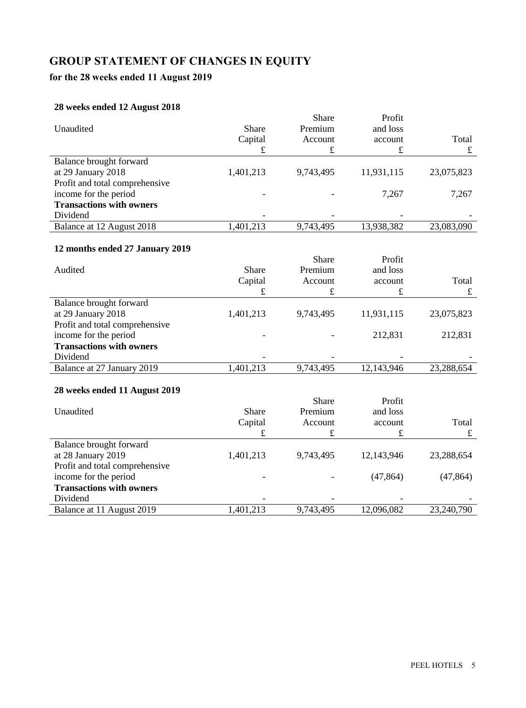# **GROUP STATEMENT OF CHANGES IN EQUITY**

# **for the 28 weeks ended 11 August 2019**

## **28 weeks ended 12 August 2018**

| $\cos \theta$ chucu 12 $\cos \theta$<br>Unaudited        | Share<br>Capital | Share<br>Premium<br>Account | Profit<br>and loss<br>account | Total      |
|----------------------------------------------------------|------------------|-----------------------------|-------------------------------|------------|
|                                                          | £                | £                           | £                             | $\pounds$  |
| Balance brought forward                                  |                  |                             |                               |            |
| at 29 January 2018                                       | 1,401,213        | 9,743,495                   | 11,931,115                    | 23,075,823 |
| Profit and total comprehensive                           |                  |                             |                               |            |
| income for the period                                    |                  |                             | 7,267                         | 7,267      |
| <b>Transactions with owners</b>                          |                  |                             |                               |            |
| Dividend                                                 |                  |                             |                               |            |
| Balance at 12 August 2018                                | 1,401,213        | 9,743,495                   | 13,938,382                    | 23,083,090 |
|                                                          |                  |                             |                               |            |
| 12 months ended 27 January 2019                          |                  |                             |                               |            |
|                                                          | Share            | Share<br>Premium            | Profit                        |            |
| Audited                                                  |                  | Account                     | and loss                      | Total      |
|                                                          | Capital<br>£     | £                           | account<br>£                  | $\pounds$  |
| Balance brought forward                                  |                  |                             |                               |            |
| at 29 January 2018                                       | 1,401,213        | 9,743,495                   | 11,931,115                    | 23,075,823 |
| Profit and total comprehensive                           |                  |                             |                               |            |
| income for the period                                    |                  |                             | 212,831                       | 212,831    |
| <b>Transactions with owners</b>                          |                  |                             |                               |            |
| Dividend                                                 |                  |                             |                               |            |
| Balance at 27 January 2019                               | 1,401,213        | 9,743,495                   | 12,143,946                    | 23,288,654 |
|                                                          |                  |                             |                               |            |
| 28 weeks ended 11 August 2019                            |                  |                             |                               |            |
|                                                          |                  | Share                       | Profit                        |            |
| Unaudited                                                | Share            | Premium                     | and loss                      |            |
|                                                          | Capital          | Account                     | account                       | Total      |
|                                                          | £                | £                           | £                             | $\pounds$  |
| Balance brought forward                                  |                  |                             |                               |            |
| at 28 January 2019                                       | 1,401,213        | 9,743,495                   | 12,143,946                    | 23,288,654 |
| Profit and total comprehensive                           |                  |                             |                               |            |
| income for the period<br><b>Transactions with owners</b> |                  |                             | (47, 864)                     | (47, 864)  |
| Dividend                                                 |                  |                             |                               |            |
| Balance at 11 August 2019                                | 1,401,213        | 9,743,495                   | 12,096,082                    | 23,240,790 |
|                                                          |                  |                             |                               |            |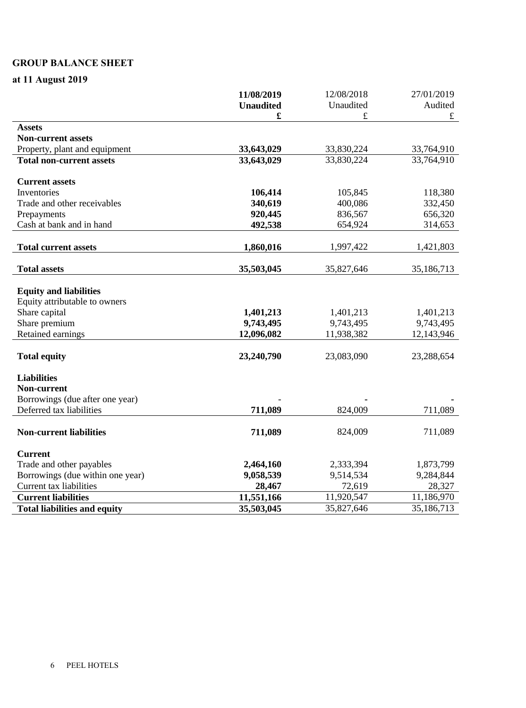## **GROUP BALANCE SHEET**

**at 11 August 2019**

|                                     | 11/08/2019       | 12/08/2018 | 27/01/2019 |
|-------------------------------------|------------------|------------|------------|
|                                     | <b>Unaudited</b> | Unaudited  | Audited    |
|                                     | £                | £          | $\pounds$  |
| <b>Assets</b>                       |                  |            |            |
| <b>Non-current assets</b>           |                  |            |            |
| Property, plant and equipment       | 33,643,029       | 33,830,224 | 33,764,910 |
| <b>Total non-current assets</b>     | 33,643,029       | 33,830,224 | 33,764,910 |
| <b>Current assets</b>               |                  |            |            |
| Inventories                         | 106,414          | 105,845    | 118,380    |
| Trade and other receivables         | 340,619          | 400,086    | 332,450    |
| Prepayments                         | 920,445          | 836,567    | 656,320    |
| Cash at bank and in hand            | 492,538          | 654,924    | 314,653    |
| <b>Total current assets</b>         | 1,860,016        | 1,997,422  | 1,421,803  |
| <b>Total assets</b>                 | 35,503,045       | 35,827,646 | 35,186,713 |
|                                     |                  |            |            |
| <b>Equity and liabilities</b>       |                  |            |            |
| Equity attributable to owners       |                  |            |            |
| Share capital                       | 1,401,213        | 1,401,213  | 1,401,213  |
| Share premium                       | 9,743,495        | 9,743,495  | 9,743,495  |
| Retained earnings                   | 12,096,082       | 11,938,382 | 12,143,946 |
|                                     |                  |            |            |
| <b>Total equity</b>                 | 23,240,790       | 23,083,090 | 23,288,654 |
| <b>Liabilities</b>                  |                  |            |            |
| Non-current                         |                  |            |            |
| Borrowings (due after one year)     |                  |            |            |
| Deferred tax liabilities            | 711,089          | 824,009    | 711,089    |
| <b>Non-current liabilities</b>      | 711,089          | 824,009    | 711,089    |
| <b>Current</b>                      |                  |            |            |
| Trade and other payables            | 2,464,160        | 2,333,394  | 1,873,799  |
| Borrowings (due within one year)    | 9,058,539        | 9,514,534  | 9,284,844  |
| Current tax liabilities             | 28,467           | 72,619     | 28,327     |
| <b>Current liabilities</b>          | 11,551,166       | 11,920,547 | 11,186,970 |
| <b>Total liabilities and equity</b> | 35,503,045       | 35,827,646 | 35,186,713 |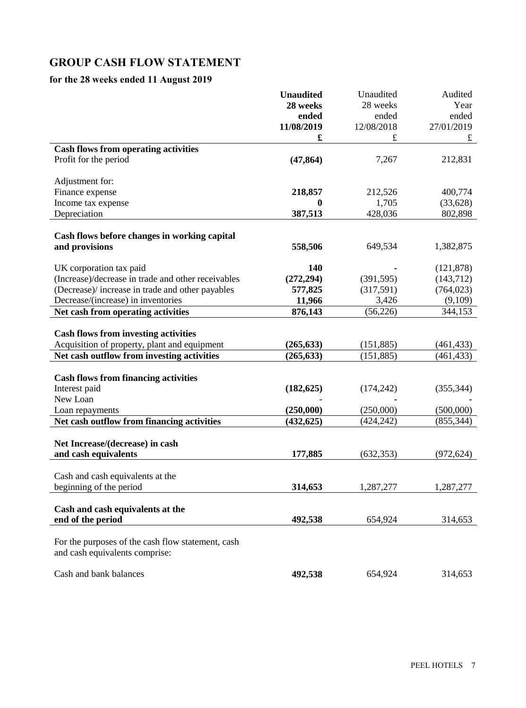# **GROUP CASH FLOW STATEMENT**

## **for the 28 weeks ended 11 August 2019**

|                                                    | <b>Unaudited</b> | Unaudited  | Audited    |
|----------------------------------------------------|------------------|------------|------------|
|                                                    | 28 weeks         | 28 weeks   | Year       |
|                                                    | ended            | ended      | ended      |
|                                                    | 11/08/2019       | 12/08/2018 | 27/01/2019 |
|                                                    | £                | £          | $\pounds$  |
| <b>Cash flows from operating activities</b>        |                  |            |            |
| Profit for the period                              | (47, 864)        | 7,267      | 212,831    |
|                                                    |                  |            |            |
| Adjustment for:                                    |                  |            |            |
| Finance expense                                    | 218,857          | 212,526    | 400,774    |
| Income tax expense                                 | 0                | 1,705      | (33, 628)  |
| Depreciation                                       | 387,513          | 428,036    | 802,898    |
|                                                    |                  |            |            |
| Cash flows before changes in working capital       |                  |            |            |
| and provisions                                     | 558,506          | 649,534    | 1,382,875  |
|                                                    |                  |            |            |
| UK corporation tax paid                            | 140              |            | (121, 878) |
| (Increase)/decrease in trade and other receivables | (272, 294)       | (391, 595) | (143,712)  |
| (Decrease)/ increase in trade and other payables   | 577,825          | (317,591)  | (764, 023) |
| Decrease/(increase) in inventories                 | 11,966           | 3,426      | (9,109)    |
| Net cash from operating activities                 | 876,143          | (56, 226)  | 344,153    |
|                                                    |                  |            |            |
| <b>Cash flows from investing activities</b>        |                  |            |            |
| Acquisition of property, plant and equipment       | (265, 633)       | (151, 885) | (461, 433) |
| Net cash outflow from investing activities         | (265, 633)       | (151, 885) | (461, 433) |
|                                                    |                  |            |            |
| <b>Cash flows from financing activities</b>        |                  |            |            |
| Interest paid                                      | (182, 625)       | (174, 242) | (355, 344) |
| New Loan                                           |                  |            |            |
| Loan repayments                                    | (250,000)        | (250,000)  | (500,000)  |
| Net cash outflow from financing activities         | (432, 625)       | (424, 242) | (855, 344) |
|                                                    |                  |            |            |
| Net Increase/(decrease) in cash                    |                  |            |            |
| and cash equivalents                               | 177,885          | (632, 353) | (972, 624) |
|                                                    |                  |            |            |
| Cash and cash equivalents at the                   |                  |            |            |
| beginning of the period                            | 314,653          | 1,287,277  | 1,287,277  |
|                                                    |                  |            |            |
| Cash and cash equivalents at the                   |                  |            |            |
| end of the period                                  | 492,538          | 654,924    | 314,653    |
|                                                    |                  |            |            |
| For the purposes of the cash flow statement, cash  |                  |            |            |
| and cash equivalents comprise:                     |                  |            |            |
|                                                    |                  |            |            |
| Cash and bank balances                             | 492,538          | 654,924    | 314,653    |